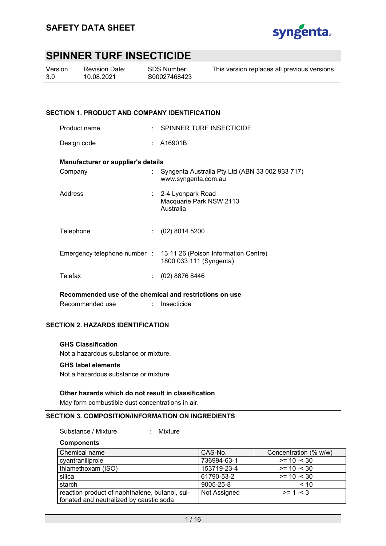

| Version | Re۱ |
|---------|-----|
| 3.0     | 10. |

vision Date: 10.08.2021

SDS Number: S00027468423 This version replaces all previous versions.

### **SECTION 1. PRODUCT AND COMPANY IDENTIFICATION**

| Product name                              | SPINNER TURF INSECTICIDE                                                                     |
|-------------------------------------------|----------------------------------------------------------------------------------------------|
| Design code                               | A16901B                                                                                      |
| <b>Manufacturer or supplier's details</b> |                                                                                              |
| Company                                   | Syngenta Australia Pty Ltd (ABN 33 002 933 717)<br>www.syngenta.com.au                       |
| Address                                   | : 2-4 Lyonpark Road<br>Macquarie Park NSW 2113<br>Australia                                  |
| Telephone                                 | $(02)$ 8014 5200                                                                             |
|                                           | Emergency telephone number : 13 11 26 (Poison Information Centre)<br>1800 033 111 (Syngenta) |
| Telefax                                   | $(02)$ 8876 8446                                                                             |
|                                           |                                                                                              |

**Recommended use of the chemical and restrictions on use** 

| Recommended use | Insecticide |
|-----------------|-------------|
|                 |             |

### **SECTION 2. HAZARDS IDENTIFICATION**

#### **GHS Classification**

Not a hazardous substance or mixture.

#### **GHS label elements**

Not a hazardous substance or mixture.

#### **Other hazards which do not result in classification**

May form combustible dust concentrations in air.

#### **SECTION 3. COMPOSITION/INFORMATION ON INGREDIENTS**

Substance / Mixture : Mixture

**Components** 

| Chemical name                                  | CAS-No.      | Concentration (% w/w) |
|------------------------------------------------|--------------|-----------------------|
| cyantraniliprole                               | 736994-63-1  | $>= 10 - 30$          |
| thiamethoxam (ISO)                             | 153719-23-4  | $>= 10 - 30$          |
| silica                                         | 61790-53-2   | $>= 10 - 30$          |
| starch                                         | 9005-25-8    | < 10                  |
| reaction product of naphthalene, butanol, sul- | Not Assigned | $>= 1 - 3$            |
| fonated and neutralized by caustic soda        |              |                       |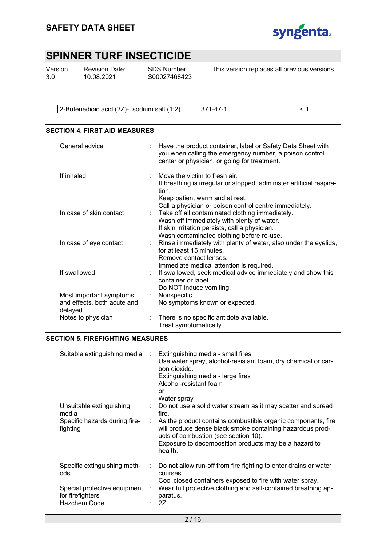

| Version | <b>Revision Date:</b> | SDS Number:  | This version replaces all previous versions. |
|---------|-----------------------|--------------|----------------------------------------------|
| 3.0     | 10.08.2021            | S00027468423 |                                              |
|         |                       |              |                                              |

2-Butenedioic acid (2Z)-, sodium salt (1:2) 371-47-1 < 1

### **SECTION 4. FIRST AID MEASURES**

| General advice                                                    |    | Have the product container, label or Safety Data Sheet with<br>you when calling the emergency number, a poison control<br>center or physician, or going for treatment.                                                                                   |
|-------------------------------------------------------------------|----|----------------------------------------------------------------------------------------------------------------------------------------------------------------------------------------------------------------------------------------------------------|
| If inhaled                                                        |    | Move the victim to fresh air.<br>If breathing is irregular or stopped, administer artificial respira-<br>tion.<br>Keep patient warm and at rest.                                                                                                         |
| In case of skin contact                                           |    | Call a physician or poison control centre immediately.<br>: Take off all contaminated clothing immediately.<br>Wash off immediately with plenty of water.<br>If skin irritation persists, call a physician.<br>Wash contaminated clothing before re-use. |
| In case of eye contact                                            |    | : Rinse immediately with plenty of water, also under the eyelids,<br>for at least 15 minutes.<br>Remove contact lenses.<br>Immediate medical attention is required.                                                                                      |
| If swallowed                                                      |    | If swallowed, seek medical advice immediately and show this<br>container or label.<br>Do NOT induce vomiting.                                                                                                                                            |
| Most important symptoms<br>and effects, both acute and<br>delayed | ÷. | Nonspecific<br>No symptoms known or expected.                                                                                                                                                                                                            |
| Notes to physician                                                |    | There is no specific antidote available.<br>Treat symptomatically.                                                                                                                                                                                       |

#### **SECTION 5. FIREFIGHTING MEASURES**

| Suitable extinguishing media                                                                              | $\sim$ | Extinguishing media - small fires<br>Use water spray, alcohol-resistant foam, dry chemical or car-<br>bon dioxide.<br>Extinguishing media - large fires<br>Alcohol-resistant foam<br>or<br>Water spray                                                                                                         |
|-----------------------------------------------------------------------------------------------------------|--------|----------------------------------------------------------------------------------------------------------------------------------------------------------------------------------------------------------------------------------------------------------------------------------------------------------------|
| Unsuitable extinguishing<br>media<br>Specific hazards during fire-<br>fighting                            | ÷      | Do not use a solid water stream as it may scatter and spread<br>fire.<br>As the product contains combustible organic components, fire<br>will produce dense black smoke containing hazardous prod-<br>ucts of combustion (see section 10).<br>Exposure to decomposition products may be a hazard to<br>health. |
| Specific extinguishing meth-<br>ods<br>Special protective equipment :<br>for firefighters<br>Hazchem Code | ÷.     | Do not allow run-off from fire fighting to enter drains or water<br>courses.<br>Cool closed containers exposed to fire with water spray.<br>Wear full protective clothing and self-contained breathing ap-<br>paratus.<br>2Z                                                                                   |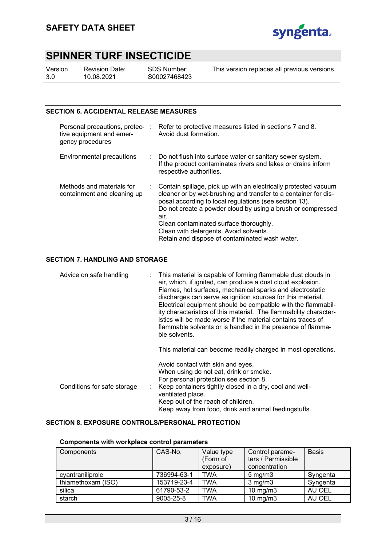

| Version | R٥ |
|---------|----|
| 3.0     | 10 |

evision Date: 10.08.2021

SDS Number: S00027468423 This version replaces all previous versions.

### **SECTION 6. ACCIDENTAL RELEASE MEASURES**

| Personal precautions, protec- :<br>tive equipment and emer-<br>gency procedures | Refer to protective measures listed in sections 7 and 8.<br>Avoid dust formation.                                                                                                                                                                                                                                                                                                                         |
|---------------------------------------------------------------------------------|-----------------------------------------------------------------------------------------------------------------------------------------------------------------------------------------------------------------------------------------------------------------------------------------------------------------------------------------------------------------------------------------------------------|
| Environmental precautions                                                       | : Do not flush into surface water or sanitary sewer system.<br>If the product contaminates rivers and lakes or drains inform<br>respective authorities.                                                                                                                                                                                                                                                   |
| Methods and materials for<br>containment and cleaning up                        | Contain spillage, pick up with an electrically protected vacuum<br>cleaner or by wet-brushing and transfer to a container for dis-<br>posal according to local regulations (see section 13).<br>Do not create a powder cloud by using a brush or compressed<br>air.<br>Clean contaminated surface thoroughly.<br>Clean with detergents. Avoid solvents.<br>Retain and dispose of contaminated wash water. |

### **SECTION 7. HANDLING AND STORAGE**

| Advice on safe handling     | : This material is capable of forming flammable dust clouds in<br>air, which, if ignited, can produce a dust cloud explosion.<br>Flames, hot surfaces, mechanical sparks and electrostatic<br>discharges can serve as ignition sources for this material.<br>Electrical equipment should be compatible with the flammabil-<br>ity characteristics of this material. The flammability character-<br>istics will be made worse if the material contains traces of<br>flammable solvents or is handled in the presence of flamma-<br>ble solvents.<br>This material can become readily charged in most operations. |
|-----------------------------|-----------------------------------------------------------------------------------------------------------------------------------------------------------------------------------------------------------------------------------------------------------------------------------------------------------------------------------------------------------------------------------------------------------------------------------------------------------------------------------------------------------------------------------------------------------------------------------------------------------------|
| Conditions for safe storage | Avoid contact with skin and eyes.<br>When using do not eat, drink or smoke.<br>For personal protection see section 8.<br>Keep containers tightly closed in a dry, cool and well-<br>ventilated place.<br>Keep out of the reach of children.<br>Keep away from food, drink and animal feedingstuffs.                                                                                                                                                                                                                                                                                                             |

### **SECTION 8. EXPOSURE CONTROLS/PERSONAL PROTECTION**

#### **Components with workplace control parameters**

| Components         | CAS-No.     | Value type<br>(Form of | Control parame-<br>ters / Permissible | <b>Basis</b> |
|--------------------|-------------|------------------------|---------------------------------------|--------------|
|                    |             | exposure)              | concentration                         |              |
| cyantraniliprole   | 736994-63-1 | <b>TWA</b>             | $5 \text{ mg/m}$ 3                    | Syngenta     |
| thiamethoxam (ISO) | 153719-23-4 | <b>TWA</b>             | $3$ mg/m $3$                          | Syngenta     |
| silica             | 61790-53-2  | <b>TWA</b>             | $10 \text{ mg/m}$                     | AU OEL       |
| starch             | 9005-25-8   | <b>TWA</b>             | $10 \text{ mg/m}$                     | AU OEL       |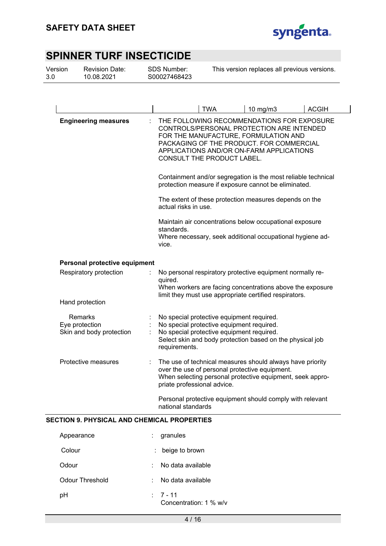

| Hand protection<br>Remarks<br>Eye protection<br>Protective measures |                                                    |          |                                                                                                                                                                                                                   |                                                                                                                                                                                                                                                                                          |              |  |
|---------------------------------------------------------------------|----------------------------------------------------|----------|-------------------------------------------------------------------------------------------------------------------------------------------------------------------------------------------------------------------|------------------------------------------------------------------------------------------------------------------------------------------------------------------------------------------------------------------------------------------------------------------------------------------|--------------|--|
|                                                                     |                                                    |          | <b>TWA</b>                                                                                                                                                                                                        | 10 mg/m3                                                                                                                                                                                                                                                                                 | <b>ACGIH</b> |  |
|                                                                     | <b>Engineering measures</b>                        |          | CONSULT THE PRODUCT LABEL.                                                                                                                                                                                        | THE FOLLOWING RECOMMENDATIONS FOR EXPOSURE<br>CONTROLS/PERSONAL PROTECTION ARE INTENDED<br>FOR THE MANUFACTURE, FORMULATION AND<br>PACKAGING OF THE PRODUCT. FOR COMMERCIAL<br>APPLICATIONS AND/OR ON-FARM APPLICATIONS<br>Containment and/or segregation is the most reliable technical |              |  |
|                                                                     |                                                    |          |                                                                                                                                                                                                                   | protection measure if exposure cannot be eliminated.                                                                                                                                                                                                                                     |              |  |
|                                                                     |                                                    |          | actual risks in use.                                                                                                                                                                                              | The extent of these protection measures depends on the                                                                                                                                                                                                                                   |              |  |
|                                                                     |                                                    | vice.    | Maintain air concentrations below occupational exposure<br>standards.<br>Where necessary, seek additional occupational hygiene ad-                                                                                |                                                                                                                                                                                                                                                                                          |              |  |
|                                                                     | Personal protective equipment                      |          |                                                                                                                                                                                                                   |                                                                                                                                                                                                                                                                                          |              |  |
|                                                                     | Respiratory protection                             | quired.  |                                                                                                                                                                                                                   | No personal respiratory protective equipment normally re-<br>When workers are facing concentrations above the exposure<br>limit they must use appropriate certified respirators.                                                                                                         |              |  |
|                                                                     |                                                    |          |                                                                                                                                                                                                                   |                                                                                                                                                                                                                                                                                          |              |  |
|                                                                     | Skin and body protection                           |          | No special protective equipment required.<br>No special protective equipment required.<br>No special protective equipment required.<br>Select skin and body protection based on the physical job<br>requirements. |                                                                                                                                                                                                                                                                                          |              |  |
|                                                                     |                                                    |          | priate professional advice.                                                                                                                                                                                       | The use of technical measures should always have priority<br>over the use of personal protective equipment.<br>When selecting personal protective equipment, seek appro-                                                                                                                 |              |  |
|                                                                     |                                                    |          | national standards                                                                                                                                                                                                | Personal protective equipment should comply with relevant                                                                                                                                                                                                                                |              |  |
|                                                                     | <b>SECTION 9. PHYSICAL AND CHEMICAL PROPERTIES</b> |          |                                                                                                                                                                                                                   |                                                                                                                                                                                                                                                                                          |              |  |
| Appearance                                                          |                                                    | granules |                                                                                                                                                                                                                   |                                                                                                                                                                                                                                                                                          |              |  |
| Colour                                                              |                                                    |          | beige to brown                                                                                                                                                                                                    |                                                                                                                                                                                                                                                                                          |              |  |

- Odour : No data available
- Odour Threshold : No data available pH : 7 - 11
	- Concentration: 1 % w/v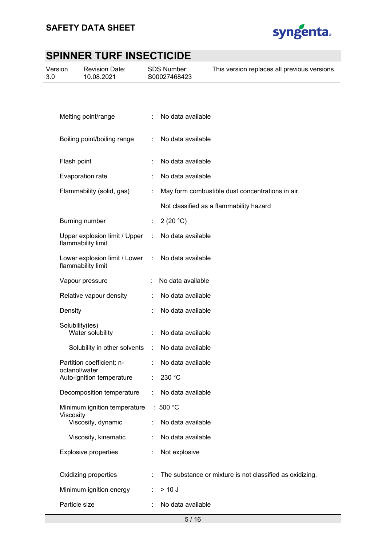

| Version<br>3.0 | <b>Revision Date:</b><br>10.08.2021                 |   | SDS Number:<br>S00027468423 | This version replaces all previous versions.             |
|----------------|-----------------------------------------------------|---|-----------------------------|----------------------------------------------------------|
|                |                                                     |   |                             |                                                          |
|                | Melting point/range                                 |   | No data available           |                                                          |
|                | Boiling point/boiling range                         | ÷ | No data available           |                                                          |
|                | Flash point                                         |   | No data available           |                                                          |
|                | Evaporation rate                                    |   | No data available           |                                                          |
|                | Flammability (solid, gas)                           |   |                             | May form combustible dust concentrations in air.         |
|                |                                                     |   |                             | Not classified as a flammability hazard                  |
|                | Burning number                                      |   | 2 (20 $°C$ )                |                                                          |
|                | Upper explosion limit / Upper<br>flammability limit | ÷ | No data available           |                                                          |
|                | Lower explosion limit / Lower<br>flammability limit | ÷ | No data available           |                                                          |
|                | Vapour pressure                                     |   | No data available           |                                                          |
|                | Relative vapour density                             |   | No data available           |                                                          |
|                | Density                                             |   | No data available           |                                                          |
|                | Solubility(ies)<br>Water solubility                 |   | No data available           |                                                          |
|                | Solubility in other solvents                        | ÷ | No data available           |                                                          |
|                | Partition coefficient: n-<br>octanol/water          |   | No data available           |                                                          |
|                | Auto-ignition temperature                           |   | 230 °C                      |                                                          |
|                | Decomposition temperature                           |   | No data available           |                                                          |
|                | Minimum ignition temperature                        |   | : 500 $^{\circ}$ C          |                                                          |
|                | Viscosity<br>Viscosity, dynamic                     |   | No data available           |                                                          |
|                | Viscosity, kinematic                                |   | No data available           |                                                          |
|                | <b>Explosive properties</b>                         |   | Not explosive               |                                                          |
|                | Oxidizing properties                                |   |                             | The substance or mixture is not classified as oxidizing. |
|                | Minimum ignition energy                             |   | $> 10$ J                    |                                                          |
|                | Particle size                                       |   | No data available           |                                                          |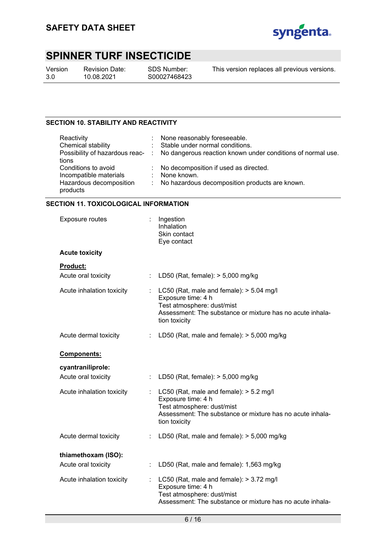

Version 3.0

Revision Date: 10.08.2021

SDS Number: S00027468423

This version replaces all previous versions.

### **SECTION 10. STABILITY AND REACTIVITY**

| Reactivity              | : None reasonably foreseeable.                                                               |
|-------------------------|----------------------------------------------------------------------------------------------|
| Chemical stability      | : Stable under normal conditions.                                                            |
|                         | Possibility of hazardous reac- : No dangerous reaction known under conditions of normal use. |
| tions                   |                                                                                              |
| Conditions to avoid     | : No decomposition if used as directed.                                                      |
| Incompatible materials  | : None known.                                                                                |
| Hazardous decomposition | : No hazardous decomposition products are known.                                             |
| products                |                                                                                              |

### **SECTION 11. TOXICOLOGICAL INFORMATION**

| <b>Exposure routes</b>    |    | Ingestion<br>Inhalation<br>Skin contact<br>Eye contact                                                                                                                       |
|---------------------------|----|------------------------------------------------------------------------------------------------------------------------------------------------------------------------------|
| <b>Acute toxicity</b>     |    |                                                                                                                                                                              |
| <b>Product:</b>           |    |                                                                                                                                                                              |
| Acute oral toxicity       | ÷. | LD50 (Rat, female): $> 5,000$ mg/kg                                                                                                                                          |
| Acute inhalation toxicity | t. | LC50 (Rat, male and female): $> 5.04$ mg/l<br>Exposure time: 4 h<br>Test atmosphere: dust/mist<br>Assessment: The substance or mixture has no acute inhala-<br>tion toxicity |
| Acute dermal toxicity     |    | LD50 (Rat, male and female): $>$ 5,000 mg/kg                                                                                                                                 |
| Components:               |    |                                                                                                                                                                              |
| cyantraniliprole:         |    |                                                                                                                                                                              |
| Acute oral toxicity       |    | LD50 (Rat, female): $> 5,000$ mg/kg                                                                                                                                          |
| Acute inhalation toxicity |    | LC50 (Rat, male and female): $>$ 5.2 mg/l<br>Exposure time: 4 h<br>Test atmosphere: dust/mist<br>Assessment: The substance or mixture has no acute inhala-<br>tion toxicity  |
| Acute dermal toxicity     | ÷  | LD50 (Rat, male and female): $>$ 5,000 mg/kg                                                                                                                                 |
| thiamethoxam (ISO):       |    |                                                                                                                                                                              |
| Acute oral toxicity       | ÷. | LD50 (Rat, male and female): 1,563 mg/kg                                                                                                                                     |
| Acute inhalation toxicity |    | LC50 (Rat, male and female): > 3.72 mg/l<br>Exposure time: 4 h<br>Test atmosphere: dust/mist<br>Assessment: The substance or mixture has no acute inhala-                    |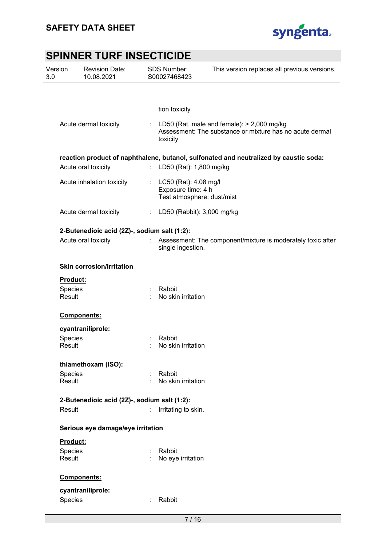

| Version<br>3.0    | <b>Revision Date:</b><br>10.08.2021          |    | <b>SDS Number:</b><br>This version replaces all previous versions.<br>S00027468423                                   |
|-------------------|----------------------------------------------|----|----------------------------------------------------------------------------------------------------------------------|
|                   |                                              |    |                                                                                                                      |
|                   |                                              |    | tion toxicity                                                                                                        |
|                   | Acute dermal toxicity                        | ÷  | LD50 (Rat, male and female): $>$ 2,000 mg/kg<br>Assessment: The substance or mixture has no acute dermal<br>toxicity |
|                   |                                              |    | reaction product of naphthalene, butanol, sulfonated and neutralized by caustic soda:                                |
|                   | Acute oral toxicity                          | t. | LD50 (Rat): 1,800 mg/kg                                                                                              |
|                   | Acute inhalation toxicity                    | ÷  | LC50 (Rat): 4.08 mg/l<br>Exposure time: 4 h<br>Test atmosphere: dust/mist                                            |
|                   | Acute dermal toxicity                        | ÷  | LD50 (Rabbit): 3,000 mg/kg                                                                                           |
|                   | 2-Butenedioic acid (2Z)-, sodium salt (1:2): |    |                                                                                                                      |
|                   | Acute oral toxicity                          |    | Assessment: The component/mixture is moderately toxic after<br>single ingestion.                                     |
|                   | <b>Skin corrosion/irritation</b>             |    |                                                                                                                      |
| Product:          |                                              |    |                                                                                                                      |
| Species<br>Result |                                              |    | Rabbit<br>No skin irritation                                                                                         |
|                   | Components:                                  |    |                                                                                                                      |
|                   | cyantraniliprole:                            |    |                                                                                                                      |
| Species<br>Result |                                              |    | Rabbit<br>No skin irritation                                                                                         |
|                   | thiamethoxam (ISO):                          |    |                                                                                                                      |
| Species           |                                              |    | Rabbit                                                                                                               |
| Result            |                                              |    | No skin irritation                                                                                                   |
|                   | 2-Butenedioic acid (2Z)-, sodium salt (1:2): |    |                                                                                                                      |
| Result            |                                              | ÷  | Irritating to skin.                                                                                                  |
|                   | Serious eye damage/eye irritation            |    |                                                                                                                      |
| Product:          |                                              |    |                                                                                                                      |
| Species           |                                              |    | Rabbit                                                                                                               |
| Result            |                                              |    | No eye irritation                                                                                                    |
|                   | Components:                                  |    |                                                                                                                      |
|                   | cyantraniliprole:                            |    |                                                                                                                      |
| Species           |                                              |    | Rabbit                                                                                                               |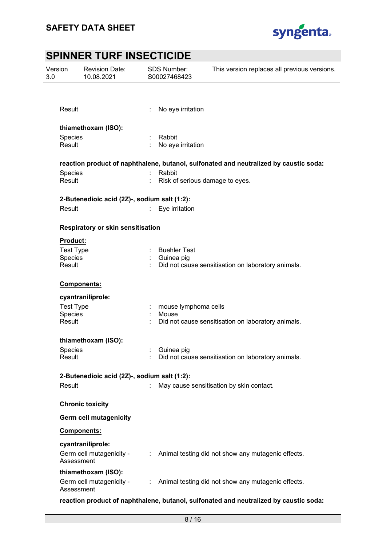

| Version<br>3.0 |                                              | <b>Revision Date:</b><br>10.08.2021             |    | SDS Number:<br>S00027468423               | This version replaces all previous versions.                                          |  |
|----------------|----------------------------------------------|-------------------------------------------------|----|-------------------------------------------|---------------------------------------------------------------------------------------|--|
|                |                                              |                                                 |    |                                           |                                                                                       |  |
|                | Result                                       |                                                 |    | No eye irritation                         |                                                                                       |  |
|                |                                              | thiamethoxam (ISO):                             |    |                                           |                                                                                       |  |
|                | Species<br>Result                            |                                                 |    | Rabbit<br>No eye irritation               |                                                                                       |  |
|                |                                              |                                                 |    |                                           | reaction product of naphthalene, butanol, sulfonated and neutralized by caustic soda: |  |
|                | Species<br>Result                            |                                                 |    | Rabbit<br>Risk of serious damage to eyes. |                                                                                       |  |
|                |                                              | 2-Butenedioic acid (2Z)-, sodium salt (1:2):    |    |                                           |                                                                                       |  |
|                | Result                                       |                                                 | t. | Eye irritation                            |                                                                                       |  |
|                |                                              | Respiratory or skin sensitisation               |    |                                           |                                                                                       |  |
|                | <b>Product:</b>                              |                                                 |    |                                           |                                                                                       |  |
|                | <b>Test Type</b><br>Species                  |                                                 |    | <b>Buehler Test</b><br>: Guinea pig       |                                                                                       |  |
|                | Result                                       |                                                 |    |                                           | Did not cause sensitisation on laboratory animals.                                    |  |
|                |                                              | Components:                                     |    |                                           |                                                                                       |  |
|                |                                              | cyantraniliprole:                               |    |                                           |                                                                                       |  |
|                | <b>Test Type</b>                             |                                                 |    | mouse lymphoma cells                      |                                                                                       |  |
|                | Species<br>Result                            |                                                 |    | Mouse                                     | Did not cause sensitisation on laboratory animals.                                    |  |
|                |                                              | thiamethoxam (ISO):                             |    |                                           |                                                                                       |  |
|                | Species                                      |                                                 |    | Guinea pig                                |                                                                                       |  |
|                | Result                                       |                                                 |    |                                           | Did not cause sensitisation on laboratory animals.                                    |  |
|                | 2-Butenedioic acid (2Z)-, sodium salt (1:2): |                                                 |    |                                           |                                                                                       |  |
|                | Result                                       |                                                 |    |                                           | May cause sensitisation by skin contact.                                              |  |
|                |                                              | <b>Chronic toxicity</b>                         |    |                                           |                                                                                       |  |
|                |                                              | <b>Germ cell mutagenicity</b>                   |    |                                           |                                                                                       |  |
|                |                                              | Components:                                     |    |                                           |                                                                                       |  |
|                | Assessment                                   | cyantraniliprole:<br>Germ cell mutagenicity -   |    |                                           | : Animal testing did not show any mutagenic effects.                                  |  |
|                | Assessment                                   | thiamethoxam (ISO):<br>Germ cell mutagenicity - |    |                                           | : Animal testing did not show any mutagenic effects.                                  |  |

**reaction product of naphthalene, butanol, sulfonated and neutralized by caustic soda:**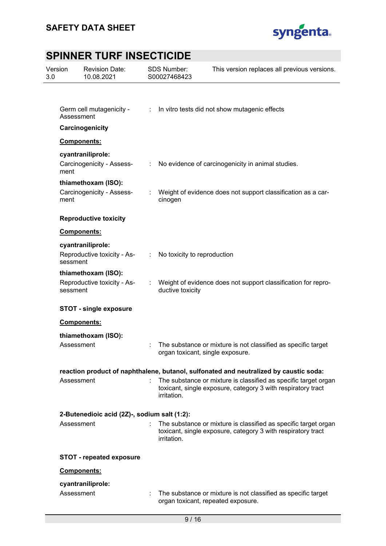

| Version<br>3.0 | <b>Revision Date:</b><br>10.08.2021          |    | <b>SDS Number:</b><br>S00027468423 | This version replaces all previous versions.                                                                                    |
|----------------|----------------------------------------------|----|------------------------------------|---------------------------------------------------------------------------------------------------------------------------------|
|                |                                              |    |                                    |                                                                                                                                 |
|                | Germ cell mutagenicity -<br>Assessment       | ÷. |                                    | In vitro tests did not show mutagenic effects                                                                                   |
|                | Carcinogenicity                              |    |                                    |                                                                                                                                 |
|                | Components:                                  |    |                                    |                                                                                                                                 |
|                | cyantraniliprole:                            |    |                                    |                                                                                                                                 |
| ment           | Carcinogenicity - Assess-                    | ÷  |                                    | No evidence of carcinogenicity in animal studies.                                                                               |
|                | thiamethoxam (ISO):                          |    |                                    |                                                                                                                                 |
| ment           | Carcinogenicity - Assess-                    |    | cinogen                            | Weight of evidence does not support classification as a car-                                                                    |
|                | <b>Reproductive toxicity</b>                 |    |                                    |                                                                                                                                 |
|                | Components:                                  |    |                                    |                                                                                                                                 |
|                | cyantraniliprole:                            |    |                                    |                                                                                                                                 |
| sessment       | Reproductive toxicity - As-                  | ÷  | No toxicity to reproduction        |                                                                                                                                 |
|                | thiamethoxam (ISO):                          |    |                                    |                                                                                                                                 |
| sessment       | Reproductive toxicity - As-                  | ÷. | ductive toxicity                   | Weight of evidence does not support classification for repro-                                                                   |
|                | <b>STOT - single exposure</b>                |    |                                    |                                                                                                                                 |
|                | Components:                                  |    |                                    |                                                                                                                                 |
|                | thiamethoxam (ISO):                          |    |                                    |                                                                                                                                 |
|                | Assessment                                   |    |                                    | The substance or mixture is not classified as specific target<br>organ toxicant, single exposure.                               |
|                |                                              |    |                                    | reaction product of naphthalene, butanol, sulfonated and neutralized by caustic soda:                                           |
|                | Assessment                                   |    | irritation.                        | The substance or mixture is classified as specific target organ<br>toxicant, single exposure, category 3 with respiratory tract |
|                | 2-Butenedioic acid (2Z)-, sodium salt (1:2): |    |                                    |                                                                                                                                 |
|                | Assessment                                   |    | irritation.                        | The substance or mixture is classified as specific target organ<br>toxicant, single exposure, category 3 with respiratory tract |
|                | <b>STOT - repeated exposure</b>              |    |                                    |                                                                                                                                 |
|                | Components:                                  |    |                                    |                                                                                                                                 |
|                | cyantraniliprole:                            |    |                                    |                                                                                                                                 |
|                | Assessment                                   |    |                                    | The substance or mixture is not classified as specific target<br>organ toxicant, repeated exposure.                             |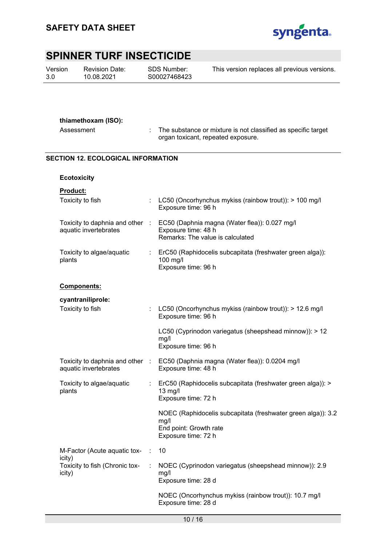

Version 3.0

Revision Date: 10.08.2021

SDS Number: S00027468423 This version replaces all previous versions.

### **thiamethoxam (ISO):**

Assessment : The substance or mixture is not classified as specific target organ toxicant, repeated exposure.

### **SECTION 12. ECOLOGICAL INFORMATION**

| <b>Ecotoxicity</b>                                       |        |                                                                                                                       |
|----------------------------------------------------------|--------|-----------------------------------------------------------------------------------------------------------------------|
| Product:<br>Toxicity to fish                             |        | LC50 (Oncorhynchus mykiss (rainbow trout)): > 100 mg/l<br>Exposure time: 96 h                                         |
| Toxicity to daphnia and other<br>aquatic invertebrates   | $\sim$ | EC50 (Daphnia magna (Water flea)): 0.027 mg/l<br>Exposure time: 48 h<br>Remarks: The value is calculated              |
| Toxicity to algae/aquatic<br>plants                      |        | ErC50 (Raphidocelis subcapitata (freshwater green alga)):<br>100 mg/l<br>Exposure time: 96 h                          |
| Components:                                              |        |                                                                                                                       |
| cyantraniliprole:                                        |        |                                                                                                                       |
| Toxicity to fish                                         | t      | LC50 (Oncorhynchus mykiss (rainbow trout)): > 12.6 mg/l<br>Exposure time: 96 h                                        |
|                                                          |        | LC50 (Cyprinodon variegatus (sheepshead minnow)): > 12<br>mg/l<br>Exposure time: 96 h                                 |
| Toxicity to daphnia and other :<br>aquatic invertebrates |        | EC50 (Daphnia magna (Water flea)): 0.0204 mg/l<br>Exposure time: 48 h                                                 |
| Toxicity to algae/aquatic<br>plants                      | t.     | ErC50 (Raphidocelis subcapitata (freshwater green alga)): ><br>13 mg/l<br>Exposure time: 72 h                         |
|                                                          |        | NOEC (Raphidocelis subcapitata (freshwater green alga)): 3.2<br>mg/l<br>End point: Growth rate<br>Exposure time: 72 h |
| M-Factor (Acute aquatic tox-                             | ÷      | 10                                                                                                                    |
| icity)<br>Toxicity to fish (Chronic tox-<br>icity)       |        | NOEC (Cyprinodon variegatus (sheepshead minnow)): 2.9<br>mg/l<br>Exposure time: 28 d                                  |
|                                                          |        | NOEC (Oncorhynchus mykiss (rainbow trout)): 10.7 mg/l<br>Exposure time: 28 d                                          |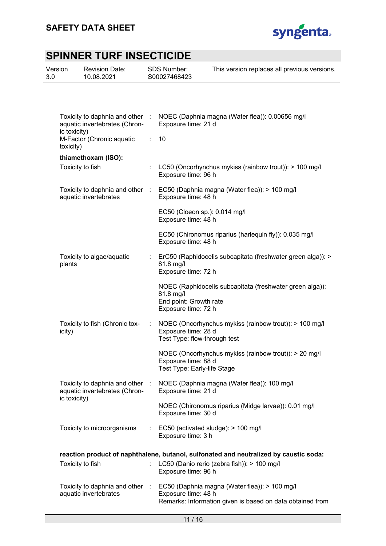

| Version<br>3.0 |                  | <b>Revision Date:</b><br>10.08.2021                              |   | <b>SDS Number:</b><br>S00027468423                         | This version replaces all previous versions.                                                                                               |
|----------------|------------------|------------------------------------------------------------------|---|------------------------------------------------------------|--------------------------------------------------------------------------------------------------------------------------------------------|
|                |                  |                                                                  |   |                                                            |                                                                                                                                            |
|                | ic toxicity)     | aquatic invertebrates (Chron-                                    |   | Exposure time: 21 d                                        | Toxicity to daphnia and other : NOEC (Daphnia magna (Water flea)): 0.00656 mg/l                                                            |
|                | toxicity)        | M-Factor (Chronic aquatic                                        | ÷ | 10                                                         |                                                                                                                                            |
|                |                  | thiamethoxam (ISO):                                              |   |                                                            |                                                                                                                                            |
|                | Toxicity to fish |                                                                  |   | Exposure time: 96 h                                        | LC50 (Oncorhynchus mykiss (rainbow trout)): > 100 mg/l                                                                                     |
|                |                  | Toxicity to daphnia and other :<br>aquatic invertebrates         |   | Exposure time: 48 h                                        | EC50 (Daphnia magna (Water flea)): > 100 mg/l                                                                                              |
|                |                  |                                                                  |   | EC50 (Cloeon sp.): 0.014 mg/l<br>Exposure time: 48 h       |                                                                                                                                            |
|                |                  |                                                                  |   | Exposure time: 48 h                                        | EC50 (Chironomus riparius (harlequin fly)): 0.035 mg/l                                                                                     |
|                | plants           | Toxicity to algae/aquatic                                        |   | 81.8 mg/l<br>Exposure time: 72 h                           | ErC50 (Raphidocelis subcapitata (freshwater green alga)): >                                                                                |
|                |                  |                                                                  |   | 81.8 mg/l<br>End point: Growth rate<br>Exposure time: 72 h | NOEC (Raphidocelis subcapitata (freshwater green alga)):                                                                                   |
|                | icity)           | Toxicity to fish (Chronic tox-                                   |   | Exposure time: 28 d<br>Test Type: flow-through test        | NOEC (Oncorhynchus mykiss (rainbow trout)): > 100 mg/l                                                                                     |
|                |                  |                                                                  |   | Exposure time: 88 d<br>Test Type: Early-life Stage         | NOEC (Oncorhynchus mykiss (rainbow trout)): > 20 mg/l                                                                                      |
|                |                  | Toxicity to daphnia and other :<br>aquatic invertebrates (Chron- |   | Exposure time: 21 d                                        | NOEC (Daphnia magna (Water flea)): 100 mg/l                                                                                                |
|                | ic toxicity)     |                                                                  |   | Exposure time: 30 d                                        | NOEC (Chironomus riparius (Midge larvae)): 0.01 mg/l                                                                                       |
|                |                  | Toxicity to microorganisms                                       |   | Exposure time: 3 h                                         | EC50 (activated sludge): > 100 mg/l                                                                                                        |
|                |                  |                                                                  |   |                                                            |                                                                                                                                            |
|                | Toxicity to fish |                                                                  |   | Exposure time: 96 h                                        | reaction product of naphthalene, butanol, sulfonated and neutralized by caustic soda:<br>LC50 (Danio rerio (zebra fish)): > 100 mg/l       |
|                |                  | aquatic invertebrates                                            |   | Exposure time: 48 h                                        | Toxicity to daphnia and other : EC50 (Daphnia magna (Water flea)): > 100 mg/l<br>Remarks: Information given is based on data obtained from |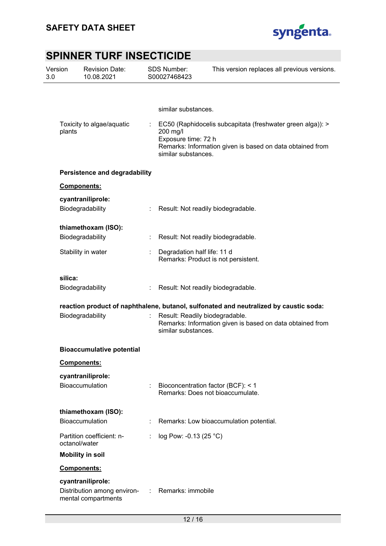

| Version<br>3.0 |               | <b>Revision Date:</b><br>10.08.2021                                     |    | <b>SDS Number:</b><br>S00027468423                     | This version replaces all previous versions.                                                                            |
|----------------|---------------|-------------------------------------------------------------------------|----|--------------------------------------------------------|-------------------------------------------------------------------------------------------------------------------------|
|                |               |                                                                         |    |                                                        |                                                                                                                         |
|                |               |                                                                         |    | similar substances.                                    |                                                                                                                         |
|                | plants        | Toxicity to algae/aquatic                                               |    | 200 mg/l<br>Exposure time: 72 h<br>similar substances. | EC50 (Raphidocelis subcapitata (freshwater green alga)): ><br>Remarks: Information given is based on data obtained from |
|                |               | <b>Persistence and degradability</b>                                    |    |                                                        |                                                                                                                         |
|                |               | Components:                                                             |    |                                                        |                                                                                                                         |
|                |               | cyantraniliprole:<br>Biodegradability                                   |    | Result: Not readily biodegradable.                     |                                                                                                                         |
|                |               | thiamethoxam (ISO):                                                     |    |                                                        |                                                                                                                         |
|                |               | Biodegradability                                                        |    | Result: Not readily biodegradable.                     |                                                                                                                         |
|                |               | Stability in water                                                      | ÷  | Degradation half life: 11 d                            | Remarks: Product is not persistent.                                                                                     |
|                | silica:       |                                                                         |    |                                                        |                                                                                                                         |
|                |               | Biodegradability                                                        | ÷. | Result: Not readily biodegradable.                     |                                                                                                                         |
|                |               |                                                                         |    |                                                        | reaction product of naphthalene, butanol, sulfonated and neutralized by caustic soda:                                   |
|                |               | Biodegradability                                                        |    | Result: Readily biodegradable.<br>similar substances.  | Remarks: Information given is based on data obtained from                                                               |
|                |               | <b>Bioaccumulative potential</b>                                        |    |                                                        |                                                                                                                         |
|                |               | <b>Components:</b>                                                      |    |                                                        |                                                                                                                         |
|                |               | cyantraniliprole:<br><b>Bioaccumulation</b>                             |    | Bioconcentration factor (BCF): < 1                     | Remarks: Does not bioaccumulate.                                                                                        |
|                |               | thiamethoxam (ISO):                                                     |    |                                                        |                                                                                                                         |
|                |               | Bioaccumulation                                                         |    |                                                        | Remarks: Low bioaccumulation potential.                                                                                 |
|                | octanol/water | Partition coefficient: n-                                               |    | log Pow: -0.13 (25 °C)                                 |                                                                                                                         |
|                |               | <b>Mobility in soil</b>                                                 |    |                                                        |                                                                                                                         |
|                |               | Components:                                                             |    |                                                        |                                                                                                                         |
|                |               | cyantraniliprole:<br>Distribution among environ-<br>mental compartments |    | Remarks: immobile                                      |                                                                                                                         |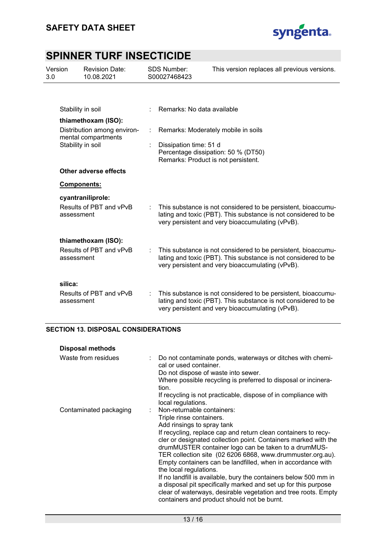

| Version<br>3.0 |                   | <b>Revision Date:</b><br>10.08.2021                |   | <b>SDS Number:</b><br>S00027468423                            | This version replaces all previous versions.                                                                                                                                        |
|----------------|-------------------|----------------------------------------------------|---|---------------------------------------------------------------|-------------------------------------------------------------------------------------------------------------------------------------------------------------------------------------|
|                |                   |                                                    |   |                                                               |                                                                                                                                                                                     |
|                |                   | Stability in soil                                  |   | Remarks: No data available                                    |                                                                                                                                                                                     |
|                |                   | thiamethoxam (ISO):                                |   |                                                               |                                                                                                                                                                                     |
|                |                   | Distribution among environ-<br>mental compartments |   |                                                               | Remarks: Moderately mobile in soils                                                                                                                                                 |
|                | Stability in soil |                                                    |   | Dissipation time: 51 d<br>Remarks: Product is not persistent. | Percentage dissipation: 50 % (DT50)                                                                                                                                                 |
|                |                   | Other adverse effects                              |   |                                                               |                                                                                                                                                                                     |
|                |                   | Components:                                        |   |                                                               |                                                                                                                                                                                     |
|                | assessment        | cyantraniliprole:<br>Results of PBT and vPvB       | ÷ |                                                               | This substance is not considered to be persistent, bioaccumu-<br>lating and toxic (PBT). This substance is not considered to be<br>very persistent and very bioaccumulating (vPvB). |
|                |                   | thiamethoxam (ISO):                                |   |                                                               |                                                                                                                                                                                     |
|                | assessment        | Results of PBT and vPvB                            |   |                                                               | This substance is not considered to be persistent, bioaccumu-<br>lating and toxic (PBT). This substance is not considered to be<br>very persistent and very bioaccumulating (vPvB). |
|                | silica:           |                                                    |   |                                                               |                                                                                                                                                                                     |
|                | assessment        | Results of PBT and vPvB                            |   |                                                               | This substance is not considered to be persistent, bioaccumu-<br>lating and toxic (PBT). This substance is not considered to be<br>very persistent and very bioaccumulating (vPvB). |

### **SECTION 13. DISPOSAL CONSIDERATIONS**

| <b>Disposal methods</b> |                                                                                                                                                                                                                                                                                                                                                                                                                                                                                                                                                                                                                                                                                                   |
|-------------------------|---------------------------------------------------------------------------------------------------------------------------------------------------------------------------------------------------------------------------------------------------------------------------------------------------------------------------------------------------------------------------------------------------------------------------------------------------------------------------------------------------------------------------------------------------------------------------------------------------------------------------------------------------------------------------------------------------|
| Waste from residues     | : Do not contaminate ponds, waterways or ditches with chemi-<br>cal or used container.<br>Do not dispose of waste into sewer.<br>Where possible recycling is preferred to disposal or incinera-<br>tion.<br>If recycling is not practicable, dispose of in compliance with                                                                                                                                                                                                                                                                                                                                                                                                                        |
|                         | local regulations.                                                                                                                                                                                                                                                                                                                                                                                                                                                                                                                                                                                                                                                                                |
| Contaminated packaging  | : Non-returnable containers:<br>Triple rinse containers.<br>Add rinsings to spray tank<br>If recycling, replace cap and return clean containers to recy-<br>cler or designated collection point. Containers marked with the<br>drumMUSTER container logo can be taken to a drumMUS-<br>TER collection site (02 6206 6868, www.drummuster.org.au).<br>Empty containers can be landfilled, when in accordance with<br>the local regulations.<br>If no landfill is available, bury the containers below 500 mm in<br>a disposal pit specifically marked and set up for this purpose<br>clear of waterways, desirable vegetation and tree roots. Empty<br>containers and product should not be burnt. |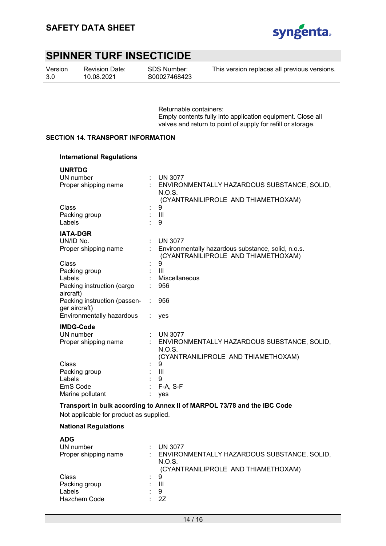

Version 3.0

Revision Date: 10.08.2021

SDS Number: S00027468423 This version replaces all previous versions.

Returnable containers: Empty contents fully into application equipment. Close all valves and return to point of supply for refill or storage.

#### **SECTION 14. TRANSPORT INFORMATION**

#### **International Regulations**

| <b>UNRTDG</b>                |                                                    |
|------------------------------|----------------------------------------------------|
| UN number                    | <b>UN 3077</b>                                     |
| Proper shipping name         | ENVIRONMENTALLY HAZARDOUS SUBSTANCE, SOLID,        |
|                              | N.O.S.                                             |
|                              | (CYANTRANILIPROLE AND THIAMETHOXAM)                |
| Class                        | 9                                                  |
| Packing group                | $\mathbf{III}$                                     |
| Labels                       | 9                                                  |
| <b>IATA-DGR</b>              |                                                    |
| UN/ID No.                    | <b>UN 3077</b>                                     |
| Proper shipping name         | Environmentally hazardous substance, solid, n.o.s. |
|                              | (CYANTRANILIPROLE AND THIAMETHOXAM)                |
| Class                        | 9                                                  |
| Packing group                | III                                                |
| Labels                       | Miscellaneous                                      |
| Packing instruction (cargo   | 956                                                |
| aircraft)                    |                                                    |
| Packing instruction (passen- | 956                                                |
| ger aircraft)                |                                                    |
| Environmentally hazardous    | ves                                                |
| <b>IMDG-Code</b>             |                                                    |
| UN number                    | <b>UN 3077</b>                                     |
| Proper shipping name         | ENVIRONMENTALLY HAZARDOUS SUBSTANCE, SOLID,        |
|                              | N.O.S.                                             |
|                              | (CYANTRANILIPROLE AND THIAMETHOXAM)                |
| Class                        | 9                                                  |
| Packing group                | Ш                                                  |
| Labels                       | 9                                                  |
| EmS Code                     | $F-A, S-F$                                         |
| Marine pollutant             | yes                                                |
|                              |                                                    |

**Transport in bulk according to Annex II of MARPOL 73/78 and the IBC Code** 

Not applicable for product as supplied.

#### **National Regulations**

| <b>ADG</b>           |                                                       |
|----------------------|-------------------------------------------------------|
| UN number            | <b>UN 3077</b>                                        |
| Proper shipping name | ENVIRONMENTALLY HAZARDOUS SUBSTANCE, SOLID,<br>N.O.S. |
|                      | (CYANTRANILIPROLE AND THIAMETHOXAM)                   |
| Class                | 9                                                     |
| Packing group        | Ш                                                     |
| Labels               | 9                                                     |
| <b>Hazchem Code</b>  | 27                                                    |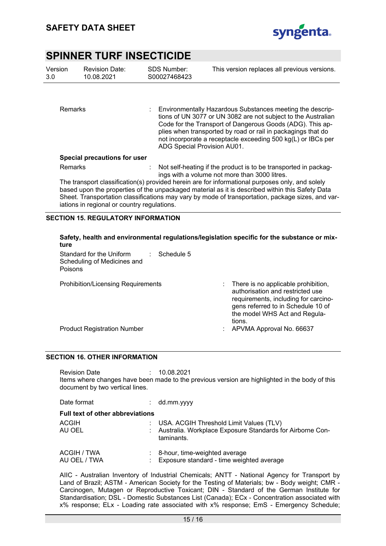

| Version<br>3.0 <sub>2</sub> | <b>Revision Date:</b><br>10.08.2021                                                                                                                                                                                                                                                                                                                    | <b>SDS Number:</b><br>S00027468423 | This version replaces all previous versions.                                                                                                                                                                                                                                                                            |  |  |  |
|-----------------------------|--------------------------------------------------------------------------------------------------------------------------------------------------------------------------------------------------------------------------------------------------------------------------------------------------------------------------------------------------------|------------------------------------|-------------------------------------------------------------------------------------------------------------------------------------------------------------------------------------------------------------------------------------------------------------------------------------------------------------------------|--|--|--|
| Remarks                     |                                                                                                                                                                                                                                                                                                                                                        | ADG Special Provision AU01.        | Environmentally Hazardous Substances meeting the descrip-<br>tions of UN 3077 or UN 3082 are not subject to the Australian<br>Code for the Transport of Dangerous Goods (ADG). This ap-<br>plies when transported by road or rail in packagings that do<br>not incorporate a receptacle exceeding 500 kg(L) or IBCs per |  |  |  |
|                             | Special precautions for user                                                                                                                                                                                                                                                                                                                           |                                    |                                                                                                                                                                                                                                                                                                                         |  |  |  |
| Remarks                     |                                                                                                                                                                                                                                                                                                                                                        |                                    | : Not self-heating if the product is to be transported in packag-<br>ings with a volume not more than 3000 litres.                                                                                                                                                                                                      |  |  |  |
|                             | The transport classification(s) provided herein are for informational purposes only, and solely<br>based upon the properties of the unpackaged material as it is described within this Safety Data<br>Sheet. Transportation classifications may vary by mode of transportation, package sizes, and var-<br>iations in regional or country regulations. |                                    |                                                                                                                                                                                                                                                                                                                         |  |  |  |

### **SECTION 15. REGULATORY INFORMATION**

| Safety, health and environmental regulations/legislation specific for the substance or mix- |  |
|---------------------------------------------------------------------------------------------|--|
| ture                                                                                        |  |

| Standard for the Uniform<br>Schedule 5<br>Scheduling of Medicines and<br>Poisons |                                                                                                                                                                                                         |
|----------------------------------------------------------------------------------|---------------------------------------------------------------------------------------------------------------------------------------------------------------------------------------------------------|
| <b>Prohibition/Licensing Requirements</b>                                        | There is no applicable prohibition,<br>t i<br>authorisation and restricted use<br>requirements, including for carcino-<br>gens referred to in Schedule 10 of<br>the model WHS Act and Regula-<br>tions. |
| <b>Product Registration Number</b>                                               | APVMA Approval No. 66637<br>÷                                                                                                                                                                           |
|                                                                                  |                                                                                                                                                                                                         |

#### **SECTION 16. OTHER INFORMATION**

Revision Date : 10.08.2021 Items where changes have been made to the previous version are highlighted in the body of this document by two vertical lines.

| Date format                             |  | $:$ dd.mm.yyyy                                                                                                         |  |  |  |
|-----------------------------------------|--|------------------------------------------------------------------------------------------------------------------------|--|--|--|
| <b>Full text of other abbreviations</b> |  |                                                                                                                        |  |  |  |
| ACGIH<br>AU OEL                         |  | : USA. ACGIH Threshold Limit Values (TLV)<br>: Australia. Workplace Exposure Standards for Airborne Con-<br>taminants. |  |  |  |
| ACGIH / TWA<br>AU OEL / TWA             |  | 8-hour, time-weighted average<br>Exposure standard - time weighted average                                             |  |  |  |

AIIC - Australian Inventory of Industrial Chemicals; ANTT - National Agency for Transport by Land of Brazil; ASTM - American Society for the Testing of Materials; bw - Body weight; CMR - Carcinogen, Mutagen or Reproductive Toxicant; DIN - Standard of the German Institute for Standardisation; DSL - Domestic Substances List (Canada); ECx - Concentration associated with x% response; ELx - Loading rate associated with x% response; EmS - Emergency Schedule;